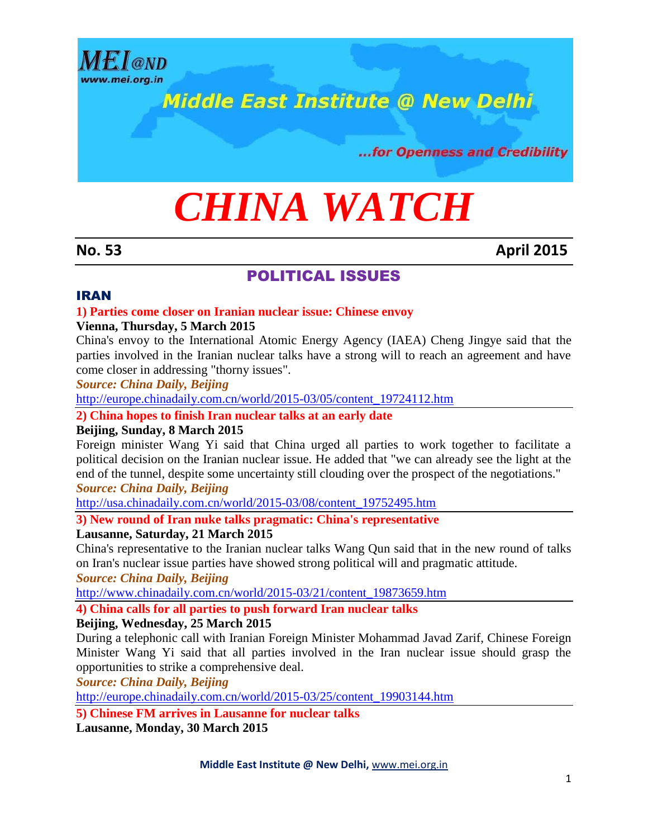

# **Middle East Institute @ New Delhi**

...for Openness and Credibility

# *CHINA WATCH*

### **No. 53 April 2015**

# POLITICAL ISSUES

#### IRAN

#### **1) Parties come closer on Iranian nuclear issue: Chinese envoy**

#### **Vienna, Thursday, 5 March 2015**

China's envoy to the International Atomic Energy Agency (IAEA) Cheng Jingye said that the parties involved in the Iranian nuclear talks have a strong will to reach an agreement and have come closer in addressing "thorny issues".

*Source: China Daily, Beijing*

[http://europe.chinadaily.com.cn/world/2015-03/05/content\\_19724112.htm](http://europe.chinadaily.com.cn/world/2015-03/05/content_19724112.htm)

**2) China hopes to finish Iran nuclear talks at an early date**

#### **Beijing, Sunday, 8 March 2015**

Foreign minister Wang Yi said that China urged all parties to work together to facilitate a political decision on the Iranian nuclear issue. He added that "we can already see the light at the end of the tunnel, despite some uncertainty still clouding over the prospect of the negotiations." *Source: China Daily, Beijing*

[http://usa.chinadaily.com.cn/world/2015-03/08/content\\_19752495.htm](http://usa.chinadaily.com.cn/world/2015-03/08/content_19752495.htm)

**3) New round of Iran nuke talks pragmatic: China's representative**

#### **Lausanne, Saturday, 21 March 2015**

China's representative to the Iranian nuclear talks Wang Qun said that in the new round of talks on Iran's nuclear issue parties have showed strong political will and pragmatic attitude.

*Source: China Daily, Beijing*

[http://www.chinadaily.com.cn/world/2015-03/21/content\\_19873659.htm](http://www.chinadaily.com.cn/world/2015-03/21/content_19873659.htm)

**4) China calls for all parties to push forward Iran nuclear talks**

#### **Beijing, Wednesday, 25 March 2015**

During a telephonic call with Iranian Foreign Minister Mohammad Javad Zarif, Chinese Foreign Minister Wang Yi said that all parties involved in the Iran nuclear issue should grasp the opportunities to strike a comprehensive deal.

*Source: China Daily, Beijing*

[http://europe.chinadaily.com.cn/world/2015-03/25/content\\_19903144.htm](http://europe.chinadaily.com.cn/world/2015-03/25/content_19903144.htm)

**5) Chinese FM arrives in Lausanne for nuclear talks**

**Lausanne, Monday, 30 March 2015**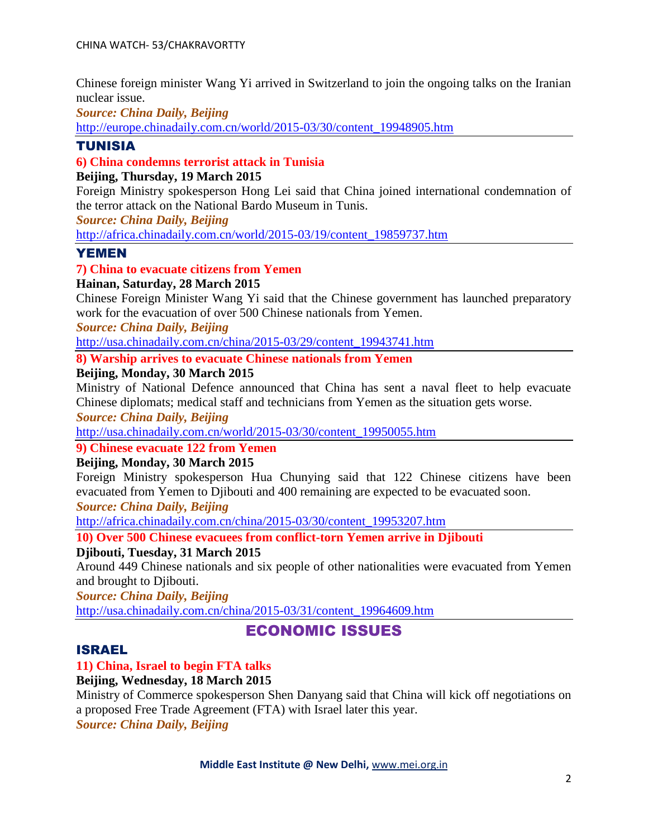Chinese foreign minister Wang Yi arrived in Switzerland to join the ongoing talks on the Iranian nuclear issue.

*Source: China Daily, Beijing*

[http://europe.chinadaily.com.cn/world/2015-03/30/content\\_19948905.htm](http://europe.chinadaily.com.cn/world/2015-03/30/content_19948905.htm)

#### TUNISIA

#### **6) China condemns terrorist attack in Tunisia**

#### **Beijing, Thursday, 19 March 2015**

Foreign Ministry spokesperson Hong Lei said that China joined international condemnation of the terror attack on the National Bardo Museum in Tunis.

*Source: China Daily, Beijing*

[http://africa.chinadaily.com.cn/world/2015-03/19/content\\_19859737.htm](http://africa.chinadaily.com.cn/world/2015-03/19/content_19859737.htm)

#### YEMEN

#### **7) China to evacuate citizens from Yemen**

#### **Hainan, Saturday, 28 March 2015**

Chinese Foreign Minister Wang Yi said that the Chinese government has launched preparatory work for the evacuation of over 500 Chinese nationals from Yemen.

*Source: China Daily, Beijing*

[http://usa.chinadaily.com.cn/china/2015-03/29/content\\_19943741.htm](http://usa.chinadaily.com.cn/china/2015-03/29/content_19943741.htm)

#### **8) Warship arrives to evacuate Chinese nationals from Yemen**

#### **Beijing, Monday, 30 March 2015**

Ministry of National Defence announced that China has sent a naval fleet to help evacuate Chinese diplomats; medical staff and technicians from Yemen as the situation gets worse.

*Source: China Daily, Beijing*

[http://usa.chinadaily.com.cn/world/2015-03/30/content\\_19950055.htm](http://usa.chinadaily.com.cn/world/2015-03/30/content_19950055.htm)

#### **9) Chinese evacuate 122 from Yemen**

#### **Beijing, Monday, 30 March 2015**

Foreign Ministry spokesperson Hua Chunying said that 122 Chinese citizens have been evacuated from Yemen to Djibouti and 400 remaining are expected to be evacuated soon.

*Source: China Daily, Beijing*

[http://africa.chinadaily.com.cn/china/2015-03/30/content\\_19953207.htm](http://africa.chinadaily.com.cn/china/2015-03/30/content_19953207.htm)

**10) Over 500 Chinese evacuees from conflict-torn Yemen arrive in Djibouti**

#### **Djibouti, Tuesday, 31 March 2015**

Around 449 Chinese nationals and six people of other nationalities were evacuated from Yemen and brought to Djibouti.

*Source: China Daily, Beijing*

[http://usa.chinadaily.com.cn/china/2015-03/31/content\\_19964609.htm](http://usa.chinadaily.com.cn/china/2015-03/31/content_19964609.htm)

# ECONOMIC ISSUES

#### ISRAEL

#### **11) China, Israel to begin FTA talks**

#### **Beijing, Wednesday, 18 March 2015**

Ministry of Commerce spokesperson Shen Danyang said that China will kick off negotiations on a proposed Free Trade Agreement (FTA) with Israel later this year. *Source: China Daily, Beijing*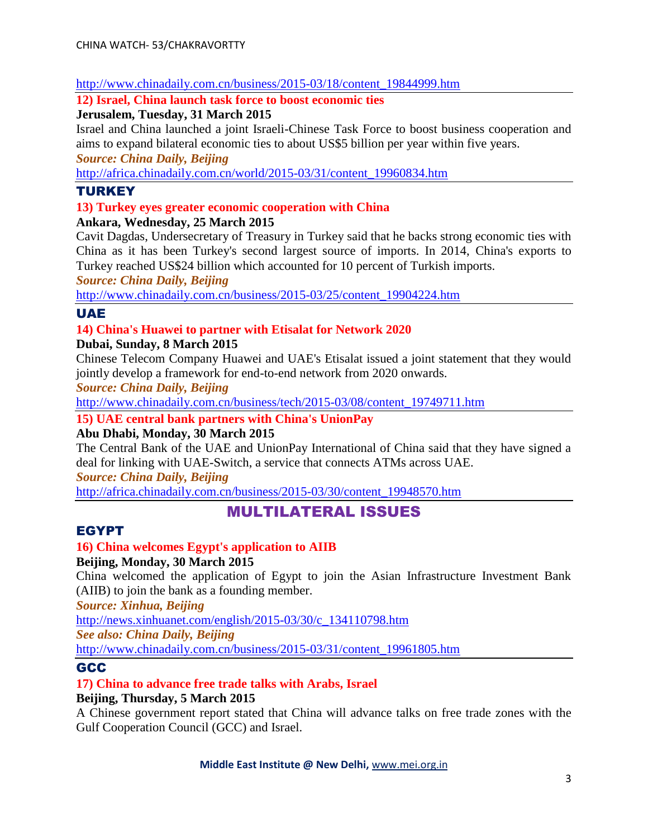#### [http://www.chinadaily.com.cn/business/2015-03/18/content\\_19844999.htm](http://www.chinadaily.com.cn/business/2015-03/18/content_19844999.htm)

#### **12) Israel, China launch task force to boost economic ties**

#### **Jerusalem, Tuesday, 31 March 2015**

Israel and China launched a joint Israeli-Chinese Task Force to boost business cooperation and aims to expand bilateral economic ties to about US\$5 billion per year within five years.

*Source: China Daily, Beijing*

[http://africa.chinadaily.com.cn/world/2015-03/31/content\\_19960834.htm](http://africa.chinadaily.com.cn/world/2015-03/31/content_19960834.htm)

#### TURKEY

#### **13) Turkey eyes greater economic cooperation with China**

**Ankara, Wednesday, 25 March 2015**

Cavit Dagdas, Undersecretary of Treasury in Turkey said that he backs strong economic ties with China as it has been Turkey's second largest source of imports. In 2014, China's exports to Turkey reached US\$24 billion which accounted for 10 percent of Turkish imports.

*Source: China Daily, Beijing*

[http://www.chinadaily.com.cn/business/2015-03/25/content\\_19904224.htm](http://www.chinadaily.com.cn/business/2015-03/25/content_19904224.htm)

#### UAE

#### **14) China's Huawei to partner with Etisalat for Network 2020**

**Dubai, Sunday, 8 March 2015**

Chinese Telecom Company Huawei and UAE's Etisalat issued a joint statement that they would jointly develop a framework for end-to-end network from 2020 onwards.

*Source: China Daily, Beijing*

[http://www.chinadaily.com.cn/business/tech/2015-03/08/content\\_19749711.htm](http://www.chinadaily.com.cn/business/tech/2015-03/08/content_19749711.htm)

**15) UAE central bank partners with China's UnionPay**

#### **Abu Dhabi, Monday, 30 March 2015**

The Central Bank of the UAE and UnionPay International of China said that they have signed a deal for linking with UAE-Switch, a service that connects ATMs across UAE.

*Source: China Daily, Beijing*

[http://africa.chinadaily.com.cn/business/2015-03/30/content\\_19948570.htm](http://africa.chinadaily.com.cn/business/2015-03/30/content_19948570.htm)

# MULTILATERAL ISSUES

#### EGYPT

# **16) China welcomes Egypt's application to AIIB**

#### **Beijing, Monday, 30 March 2015**

China welcomed the application of Egypt to join the Asian Infrastructure Investment Bank (AIIB) to join the bank as a founding member.

*Source: Xinhua, Beijing*

[http://news.xinhuanet.com/english/2015-03/30/c\\_134110798.htm](http://news.xinhuanet.com/english/2015-03/30/c_134110798.htm)

*See also: China Daily, Beijing*

[http://www.chinadaily.com.cn/business/2015-03/31/content\\_19961805.htm](http://www.chinadaily.com.cn/business/2015-03/31/content_19961805.htm)

#### GCC

#### **17) China to advance free trade talks with Arabs, Israel**

#### **Beijing, Thursday, 5 March 2015**

A Chinese government report stated that China will advance talks on free trade zones with the Gulf Cooperation Council (GCC) and Israel.

#### **Middle East Institute @ New Delhi,** [www.mei.org.in](http://www.mei.org.in/)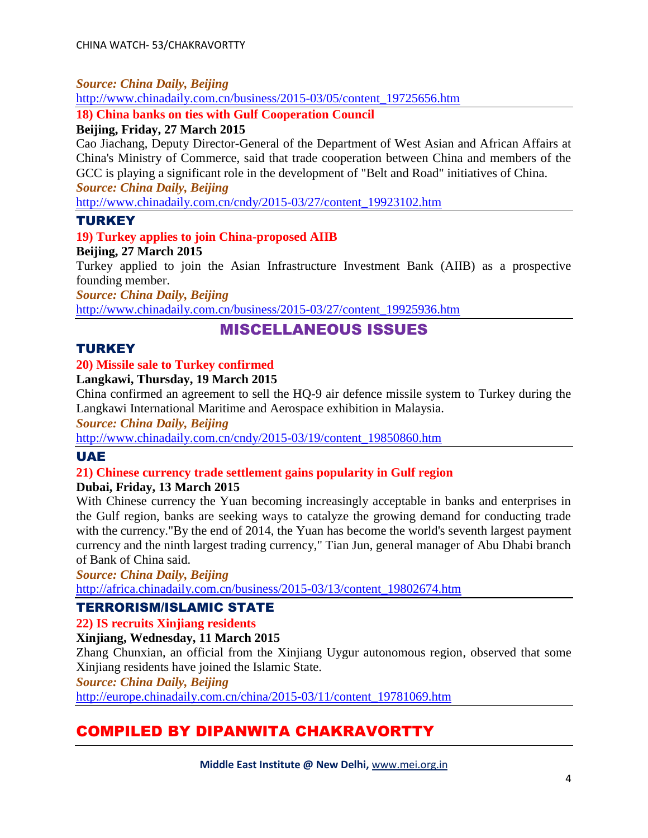#### *Source: China Daily, Beijing*

[http://www.chinadaily.com.cn/business/2015-03/05/content\\_19725656.htm](http://www.chinadaily.com.cn/business/2015-03/05/content_19725656.htm)

**18) China banks on ties with Gulf Cooperation Council**

#### **Beijing, Friday, 27 March 2015**

Cao Jiachang, Deputy Director-General of the Department of West Asian and African Affairs at China's Ministry of Commerce, said that trade cooperation between China and members of the GCC is playing a significant role in the development of "Belt and Road" initiatives of China. *Source: China Daily, Beijing*

[http://www.chinadaily.com.cn/cndy/2015-03/27/content\\_19923102.htm](http://www.chinadaily.com.cn/cndy/2015-03/27/content_19923102.htm)

#### **TURKEY**

#### **19) Turkey applies to join China-proposed AIIB**

#### **Beijing, 27 March 2015**

Turkey applied to join the Asian Infrastructure Investment Bank (AIIB) as a prospective founding member.

*Source: China Daily, Beijing*

[http://www.chinadaily.com.cn/business/2015-03/27/content\\_19925936.htm](http://www.chinadaily.com.cn/business/2015-03/27/content_19925936.htm)

# MISCELLANEOUS ISSUES

#### **TURKEY**

#### **20) Missile sale to Turkey confirmed**

#### **Langkawi, Thursday, 19 March 2015**

China confirmed an agreement to sell the HQ-9 air defence missile system to Turkey during the Langkawi International Maritime and Aerospace exhibition in Malaysia.

*Source: China Daily, Beijing*

[http://www.chinadaily.com.cn/cndy/2015-03/19/content\\_19850860.htm](http://www.chinadaily.com.cn/cndy/2015-03/19/content_19850860.htm)

#### UAE

#### **21) Chinese currency trade settlement gains popularity in Gulf region**

#### **Dubai, Friday, 13 March 2015**

With Chinese currency the Yuan becoming increasingly acceptable in banks and enterprises in the Gulf region, banks are seeking ways to catalyze the growing demand for conducting trade with the currency."By the end of 2014, the Yuan has become the world's seventh largest payment currency and the ninth largest trading currency," Tian Jun, general manager of Abu Dhabi branch of Bank of China said.

*Source: China Daily, Beijing* [http://africa.chinadaily.com.cn/business/2015-03/13/content\\_19802674.htm](http://africa.chinadaily.com.cn/business/2015-03/13/content_19802674.htm)

#### TERRORISM/ISLAMIC STATE

**22) IS recruits Xinjiang residents**

**Xinjiang, Wednesday, 11 March 2015**

Zhang Chunxian, an official from the Xinjiang Uygur autonomous region, observed that some Xinjiang residents have joined the Islamic State.

*Source: China Daily, Beijing*

[http://europe.chinadaily.com.cn/china/2015-03/11/content\\_19781069.htm](http://europe.chinadaily.com.cn/china/2015-03/11/content_19781069.htm)

# COMPILED BY DIPANWITA CHAKRAVORTTY